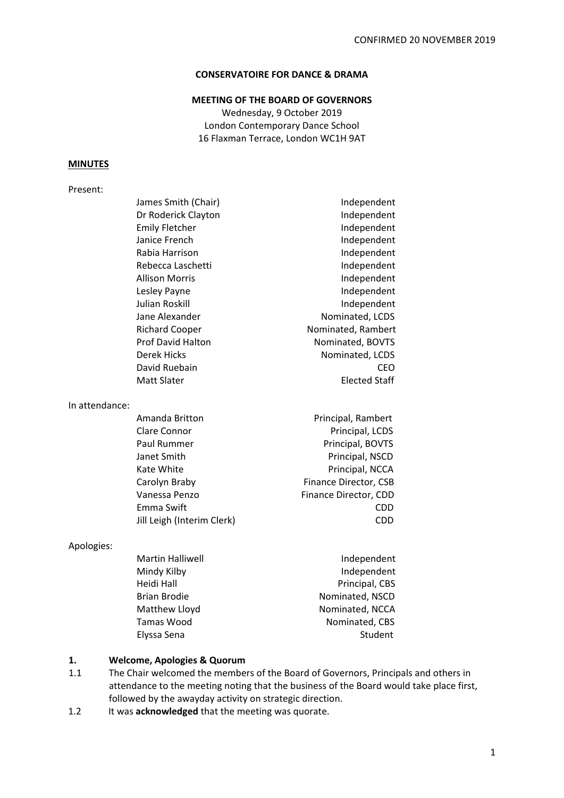## **CONSERVATOIRE FOR DANCE & DRAMA**

## **MEETING OF THE BOARD OF GOVERNORS**

Wednesday, 9 October 2019 London Contemporary Dance School 16 Flaxman Terrace, London WC1H 9AT

## **MINUTES**

#### Present:

| James Smith (Chair)      | Independent          |
|--------------------------|----------------------|
| Dr Roderick Clayton      | Independent          |
| <b>Emily Fletcher</b>    | Independent          |
| Janice French            | Independent          |
| Rabia Harrison           | Independent          |
| Rebecca Laschetti        | Independent          |
| <b>Allison Morris</b>    | Independent          |
| Lesley Payne             | Independent          |
| Julian Roskill           | Independent          |
| Jane Alexander           | Nominated, LCDS      |
| <b>Richard Cooper</b>    | Nominated, Rambert   |
| <b>Prof David Halton</b> | Nominated, BOVTS     |
| Derek Hicks              | Nominated, LCDS      |
| David Ruebain            | CEO                  |
| <b>Matt Slater</b>       | <b>Elected Staff</b> |
|                          |                      |

In attendance:

| Amanda Britton             | Principal, Rambert    |
|----------------------------|-----------------------|
| Clare Connor               | Principal, LCDS       |
| Paul Rummer                | Principal, BOVTS      |
| Janet Smith                | Principal, NSCD       |
| Kate White                 | Principal, NCCA       |
| Carolyn Braby              | Finance Director, CSB |
| Vanessa Penzo              | Finance Director, CDD |
| Emma Swift                 | CDD                   |
| Jill Leigh (Interim Clerk) | CDD                   |
|                            |                       |

### Apologies:

| Martin Halliwell | Independent     |
|------------------|-----------------|
| Mindy Kilby      | Independent     |
| Heidi Hall       | Principal, CBS  |
| Brian Brodie     | Nominated, NSCD |
| Matthew Lloyd    | Nominated, NCCA |
| Tamas Wood       | Nominated, CBS  |
| Elyssa Sena      | Student         |

# **1. Welcome, Apologies & Quorum**

- 1.1 The Chair welcomed the members of the Board of Governors, Principals and others in attendance to the meeting noting that the business of the Board would take place first, followed by the awayday activity on strategic direction.
- 1.2 It was **acknowledged** that the meeting was quorate.